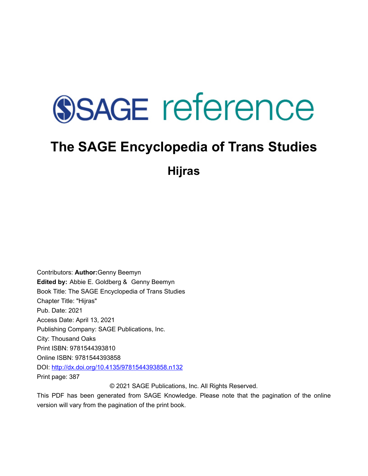# **SSAGE reference**

## **The SAGE Encyclopedia of Trans Studies Hijras**

Contributors: **Author:**Genny Beemyn **Edited by:** [Abbie E. Goldberg](javascript:void(0);) & [Genny Beemyn](javascript:void(0);)  Book Title: The SAGE Encyclopedia of Trans Studies Chapter Title: "Hijras" Pub. Date: 2021 Access Date: April 13, 2021 Publishing Company: SAGE Publications, Inc. City: Thousand Oaks Print ISBN: 9781544393810 Online ISBN: 9781544393858 DOI: <http://dx.doi.org/10.4135/9781544393858.n132> Print page: 387

© 2021 SAGE Publications, Inc. All Rights Reserved.

This PDF has been generated from SAGE Knowledge. Please note that the pagination of the online version will vary from the pagination of the print book.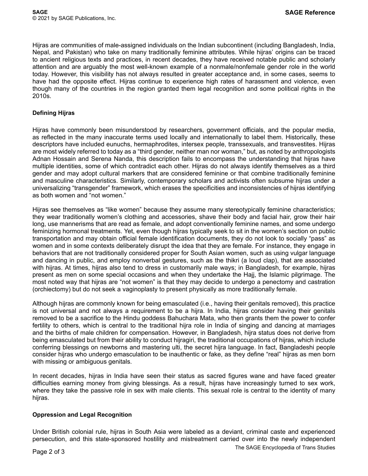Hijras are communities of male-assigned individuals on the Indian subcontinent (including Bangladesh, India, Nepal, and Pakistan) who take on many traditionally feminine attributes. While hijras' origins can be traced to ancient religious texts and practices, in recent decades, they have received notable public and scholarly attention and are arguably the most well-known example of a nonmale/nonfemale gender role in the world today. However, this visibility has not always resulted in greater acceptance and, in some cases, seems to have had the opposite effect. Hijras continue to experience high rates of harassment and violence, even though many of the countries in the region granted them legal recognition and some political rights in the 2010s.

### **Defining Hijras**

Hijras have commonly been misunderstood by researchers, government officials, and the popular media, as reflected in the many inaccurate terms used locally and internationally to label them. Historically, these descriptors have included eunuchs, hermaphrodites, intersex people, transsexuals, and transvestites. Hijras are most widely referred to today as a "third gender, neither man nor woman," but, as noted by anthropologists Adnan Hossain and Serena Nanda, this description fails to encompass the understanding that hijras have multiple identities, some of which contradict each other. Hijras do not always identify themselves as a third gender and may adopt cultural markers that are considered feminine or that combine traditionally feminine and masculine characteristics. Similarly, contemporary scholars and activists often subsume hijras under a universalizing "transgender" framework, which erases the specificities and inconsistencies of hijras identifying as both women and "not women."

Hijras see themselves as "like women" because they assume many stereotypically feminine characteristics; they wear traditionally women's clothing and accessories, shave their body and facial hair, grow their hair long, use mannerisms that are read as female, and adopt conventionally feminine names, and some undergo feminizing hormonal treatments. Yet, even though hijras typically seek to sit in the women's section on public transportation and may obtain official female identification documents, they do not look to socially "pass" as women and in some contexts deliberately disrupt the idea that they are female. For instance, they engage in behaviors that are not traditionally considered proper for South Asian women, such as using vulgar language and dancing in public, and employ nonverbal gestures, such as the thikri (a loud clap), that are associated with hijras. At times, hijras also tend to dress in customarily male ways; in Bangladesh, for example, hijras present as men on some special occasions and when they undertake the Hajj, the Islamic pilgrimage. The most noted way that hijras are "not women" is that they may decide to undergo a penectomy and castration (orchiectomy) but do not seek a vaginoplasty to present physically as more traditionally female.

Although hijras are commonly known for being emasculated (i.e., having their genitals removed), this practice is not universal and not always a requirement to be a hijra. In India, hijras consider having their genitals removed to be a sacrifice to the Hindu goddess Bahuchara Mata, who then grants them the power to confer fertility to others, which is central to the traditional hijra role in India of singing and dancing at marriages and the births of male children for compensation. However, in Bangladesh, hijra status does not derive from being emasculated but from their ability to conduct hijragiri, the traditional occupations of hijras, which include conferring blessings on newborns and mastering ulti, the secret hijra language. In fact, Bangladeshi people consider hijras who undergo emasculation to be inauthentic or fake, as they define "real" hijras as men born with missing or ambiguous genitals.

In recent decades, hijras in India have seen their status as sacred figures wane and have faced greater difficulties earning money from giving blessings. As a result, hijras have increasingly turned to sex work, where they take the passive role in sex with male clients. This sexual role is central to the identity of many hijras.

### **Oppression and Legal Recognition**

Under British colonial rule, hijras in South Asia were labeled as a deviant, criminal caste and experienced persecution, and this state-sponsored hostility and mistreatment carried over into the newly independent